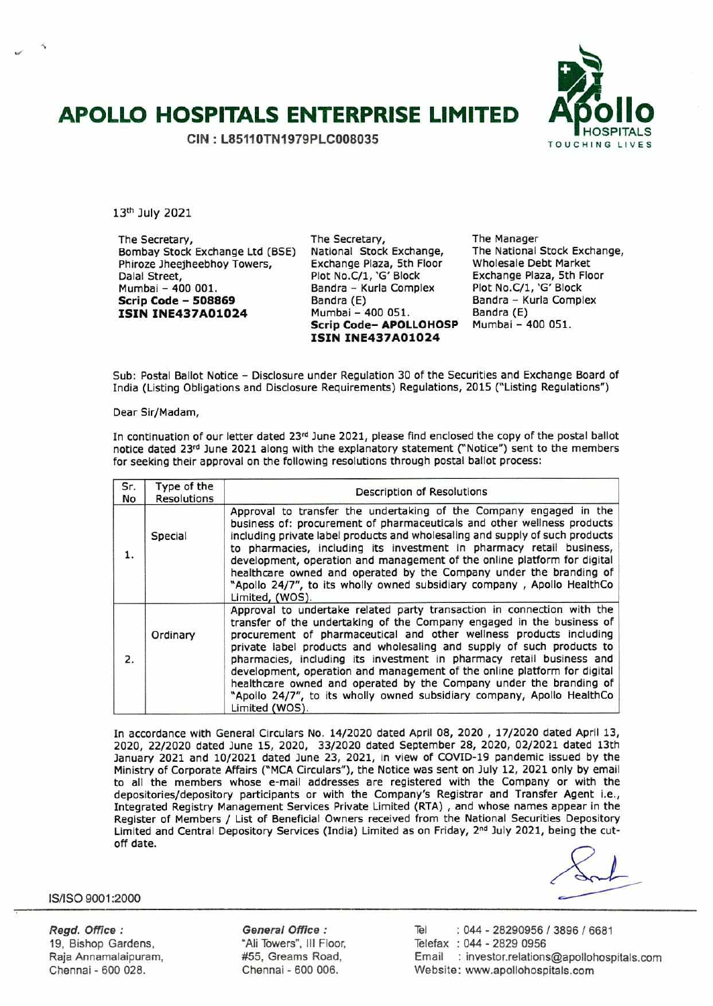# **APOLLO HOSPITALS ENTERPRISE LIMITED AiSollo**

**GIN** : **L85110TN1979PLC008035** 



13th July 2021

The Secretary, Bombay Stock Exchange Ltd (BSE) Phiroze Jheejheebhoy Towers, Dalal Street, Mumbal - 400 001. **Scrip Code** - **<sup>508869</sup> ISIN INE437A01O24** 

The Secretary, National Stock Exchange, Exchange Plaza, 5th Floor Plot No.C/1, 'G' Block Bandra - Kurla Complex Bandra (E) Mumbai - 400 051. **Scrip Code- APOLLOHOSP ISIN INE437A01024** 

The Manager The National Stock Exchange, Wholesale Debt Market Exchange Plaza, 5th Floor Plot No.C/1, 'G' Block Bandra - Kurla Complex Bandra (E) Mumbai - 400 051.

Sub: Postal Ballot Notice - Disclosure under Regulation 30 of the Securities and Exchange Board of India (Listing Obligations and Disclosure Requirements) Regulations, 2015 ("Listing Regulations")

Dear Sir/Madam,

In continuation of our letter dated 23rd June 2021, please find enclosed the copy of the postal ballot notice dated 23rd June 2021 along with the explanatory statement ("Notice") sent to the members for seeking their approval on the following resolutions through postal ballot process:

| Sr.<br>No        | Type of the<br><b>Resolutions</b> | Description of Resolutions                                                                                                                                                                                                                                                                                                                                                                                                                                                                                                                                                                                            |  |
|------------------|-----------------------------------|-----------------------------------------------------------------------------------------------------------------------------------------------------------------------------------------------------------------------------------------------------------------------------------------------------------------------------------------------------------------------------------------------------------------------------------------------------------------------------------------------------------------------------------------------------------------------------------------------------------------------|--|
| 1.               | Special                           | Approval to transfer the undertaking of the Company engaged in the<br>business of: procurement of pharmaceuticals and other wellness products<br>including private label products and wholesaling and supply of such products<br>to pharmacies, including its investment in pharmacy retail business,<br>development, operation and management of the online platform for digital<br>healthcare owned and operated by the Company under the branding of<br>"Apollo 24/7", to its wholly owned subsidiary company, Apollo HealthCo<br>Limited, (WOS).                                                                  |  |
| $\overline{2}$ . | Ordinary                          | Approval to undertake related party transaction in connection with the<br>transfer of the undertaking of the Company engaged in the business of<br>procurement of pharmaceutical and other wellness products including<br>private label products and wholesaling and supply of such products to<br>pharmacies, including its investment in pharmacy retail business and<br>development, operation and management of the online platform for digital<br>healthcare owned and operated by the Company under the branding of<br>"Apollo 24/7", to its wholly owned subsidiary company, Apollo HealthCo<br>Limited (WOS). |  |

In accordance with General Circulars No. 14/2020 dated April 08, 2020 , 17/2020 dated April 13, 2020, 22/2020 dated June 15, 2020, 33/2020 dated September 28, 2020, 02/2021 dated 13th January 2021 and 10/2021 dated June 23, 2021, in view of COVID-19 pandemic issued by the Ministry of Corporate Affairs ("MCA Circulars"), the Notice was sent on July 12, 2021 only by email to all the members whose e-mail addresses are registered with the Company or with the depositories/depository participants or with the Company's Registrar and Transfer Agent i.e., Integrated Registry Management Services Private Limited (RTA) , and whose names appear in the Register of Members / List of Beneficial Owners received from the National Securities Depository Limited and Central Depository Services (India) Limited as on Friday, 2<sup>nd</sup> July 2021, being the cutoff date.

IS/ISO 9001:2000

Regd. Office: 19, Bishop Gardens, Raja Annamalaipuram, Chennai - 600 028.

General Office: "Ali Towers", III Floor, #55, Greams Road, Chennal - 600 006.

Tel : 044 - 28290956 / 3896 / 6681 Telefax : 044 - 2829 0956 Email : investor.relations©apollohospitals.com Website: www.apollohospitals.com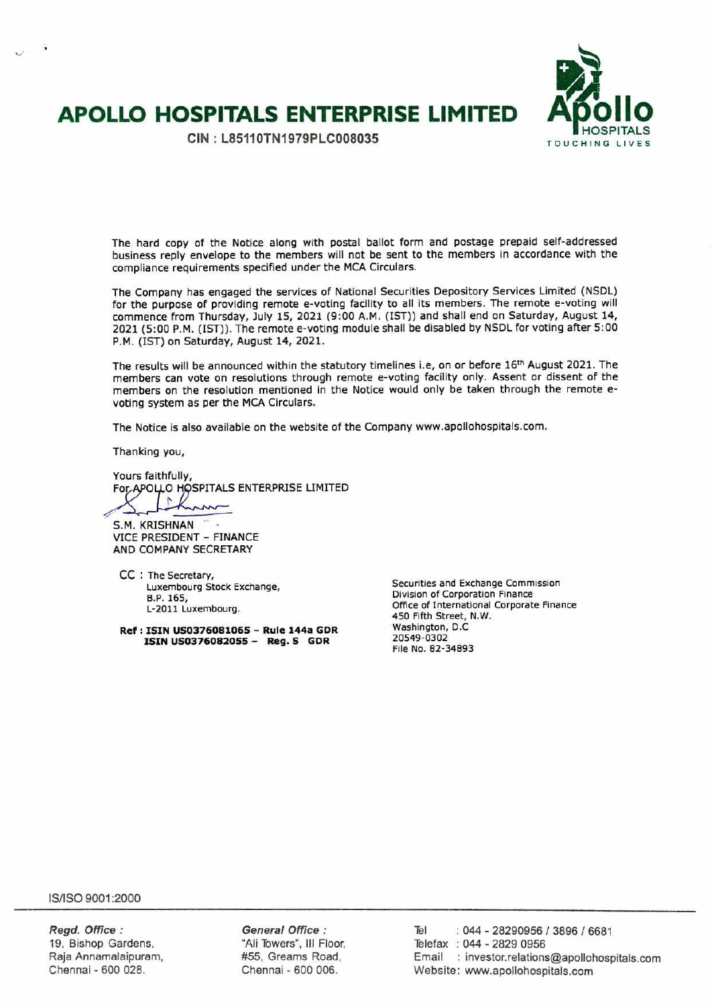# **APOLLO HOSPITALS ENTERPRISE LIMITED APOLLO HOSPITALS**

**)**<br>80 llc

The hard copy of the Notice along with postal ballot form and postage prepaid self-addressed business reply envelope to the members will not be sent to the members in accordance with the compliance requirements specified under the MCA Circulars.

The Company has engaged the services of National Securities Depository Services Limited (NSDL) for the purpose of providing remote e-voting facility to all its members. The remote e-voting will commence from Thursday, July 15, 2021 (9:00 A.M. (1ST)) and shall end on Saturday, August 14, 2021 (5:00 P.M. (1ST)). The remote e-voting module shall be disabled by NSDL for voting after 5:00 P.M. (1ST) on Saturday, August 14, 2021.

The results will be announced within the statutory timelines i.e, on or before 16<sup>th</sup> August 2021. The members can vote on resolutions through remote e-voting facility only. Assent or dissent of the members on the resolution mentioned in the Notice would only be taken through the remote evoting system as per the MCA Circulars.

The Notice is also available on the website of the Company www.apollohospitals.com.

Thanking you,

Yours faithfully, For APOLLO HOSPITALS ENTERPRISE LIMITED  $\sqrt{2}$ 

S.M. KRISHNAN VICE PRESIDENT - FINANCE AND COMPANY SECRETARY

CC : The Secretary, Luxembourg Stock Exchange, B.P. 165, L-2011 Luxembourg.

**Ref: ISIN US037608 1065 - Rule 144a GDR ISIN US0376082055 - Reg. S GDR** 

Securities and Exchange Commission Division of Corporation Finance Office of International Corporate Finance 450 Fifth Street, N.W. Washington, D.C. 20549-0302 File No. 82-34893

IS/ISO 9001:2000

**Regd. Office:** General Office : Tel : 044 - 28290956 / 3896 / 6681 19, Bishop Gardens. "All Towers", Ill Floor, Telefax : 044 - 2829 0956 Raja Annamalaipuram, **#55, Greams Road, Frail** : investor.relations@apollohospitals.com Chennai - 600 028. Chennai - 600 006. Website: www.apollohospitals.com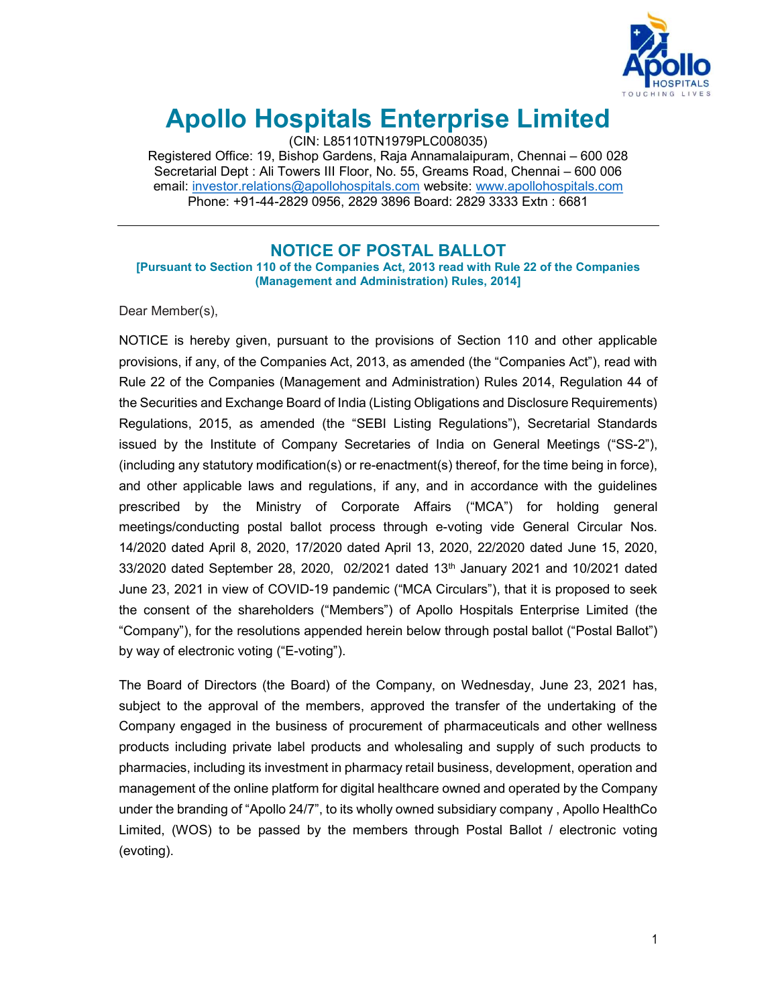

# Apollo Hospitals Enterprise Limited

(CIN: L85110TN1979PLC008035)

Registered Office: 19, Bishop Gardens, Raja Annamalaipuram, Chennai – 600 028 Secretarial Dept : Ali Towers III Floor, No. 55, Greams Road, Chennai – 600 006 email: investor.relations@apollohospitals.com website: www.apollohospitals.com Phone: +91-44-2829 0956, 2829 3896 Board: 2829 3333 Extn : 6681

# NOTICE OF POSTAL BALLOT

[Pursuant to Section 110 of the Companies Act, 2013 read with Rule 22 of the Companies (Management and Administration) Rules, 2014]

Dear Member(s),

NOTICE is hereby given, pursuant to the provisions of Section 110 and other applicable provisions, if any, of the Companies Act, 2013, as amended (the "Companies Act"), read with Rule 22 of the Companies (Management and Administration) Rules 2014, Regulation 44 of the Securities and Exchange Board of India (Listing Obligations and Disclosure Requirements) Regulations, 2015, as amended (the "SEBI Listing Regulations"), Secretarial Standards issued by the Institute of Company Secretaries of India on General Meetings ("SS-2"), (including any statutory modification(s) or re-enactment(s) thereof, for the time being in force), and other applicable laws and regulations, if any, and in accordance with the guidelines prescribed by the Ministry of Corporate Affairs ("MCA") for holding general meetings/conducting postal ballot process through e-voting vide General Circular Nos. 14/2020 dated April 8, 2020, 17/2020 dated April 13, 2020, 22/2020 dated June 15, 2020,  $33/2020$  dated September 28, 2020, 02/2021 dated 13th January 2021 and 10/2021 dated June 23, 2021 in view of COVID-19 pandemic ("MCA Circulars"), that it is proposed to seek the consent of the shareholders ("Members") of Apollo Hospitals Enterprise Limited (the "Company"), for the resolutions appended herein below through postal ballot ("Postal Ballot") by way of electronic voting ("E-voting").

The Board of Directors (the Board) of the Company, on Wednesday, June 23, 2021 has, subject to the approval of the members, approved the transfer of the undertaking of the Company engaged in the business of procurement of pharmaceuticals and other wellness products including private label products and wholesaling and supply of such products to pharmacies, including its investment in pharmacy retail business, development, operation and management of the online platform for digital healthcare owned and operated by the Company under the branding of "Apollo 24/7", to its wholly owned subsidiary company , Apollo HealthCo Limited, (WOS) to be passed by the members through Postal Ballot / electronic voting (evoting).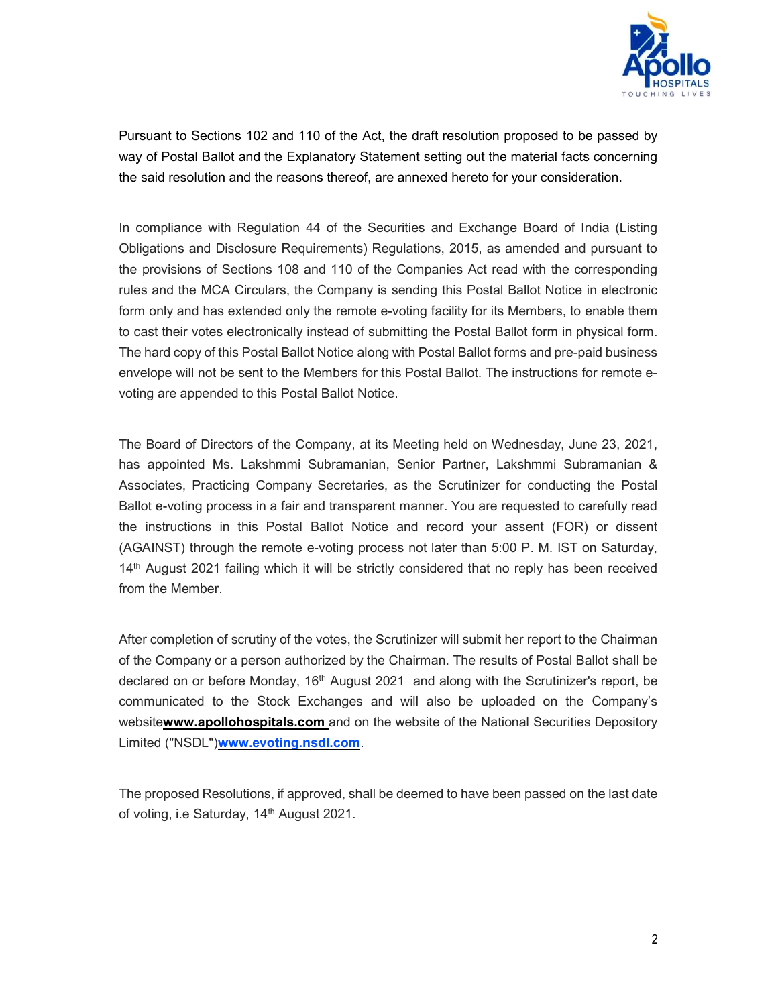

Pursuant to Sections 102 and 110 of the Act, the draft resolution proposed to be passed by way of Postal Ballot and the Explanatory Statement setting out the material facts concerning the said resolution and the reasons thereof, are annexed hereto for your consideration.

In compliance with Regulation 44 of the Securities and Exchange Board of India (Listing Obligations and Disclosure Requirements) Regulations, 2015, as amended and pursuant to the provisions of Sections 108 and 110 of the Companies Act read with the corresponding rules and the MCA Circulars, the Company is sending this Postal Ballot Notice in electronic form only and has extended only the remote e-voting facility for its Members, to enable them to cast their votes electronically instead of submitting the Postal Ballot form in physical form. The hard copy of this Postal Ballot Notice along with Postal Ballot forms and pre-paid business envelope will not be sent to the Members for this Postal Ballot. The instructions for remote evoting are appended to this Postal Ballot Notice.

The Board of Directors of the Company, at its Meeting held on Wednesday, June 23, 2021, has appointed Ms. Lakshmmi Subramanian, Senior Partner, Lakshmmi Subramanian & Associates, Practicing Company Secretaries, as the Scrutinizer for conducting the Postal Ballot e-voting process in a fair and transparent manner. You are requested to carefully read the instructions in this Postal Ballot Notice and record your assent (FOR) or dissent (AGAINST) through the remote e-voting process not later than 5:00 P. M. IST on Saturday, 14<sup>th</sup> August 2021 failing which it will be strictly considered that no reply has been received from the Member.

After completion of scrutiny of the votes, the Scrutinizer will submit her report to the Chairman of the Company or a person authorized by the Chairman. The results of Postal Ballot shall be declared on or before Monday, 16<sup>th</sup> August 2021 and along with the Scrutinizer's report, be communicated to the Stock Exchanges and will also be uploaded on the Company's websitewww.apollohospitals.com and on the website of the National Securities Depository Limited ("NSDL")www.evoting.nsdl.com.

The proposed Resolutions, if approved, shall be deemed to have been passed on the last date of voting, i.e Saturday, 14<sup>th</sup> August 2021.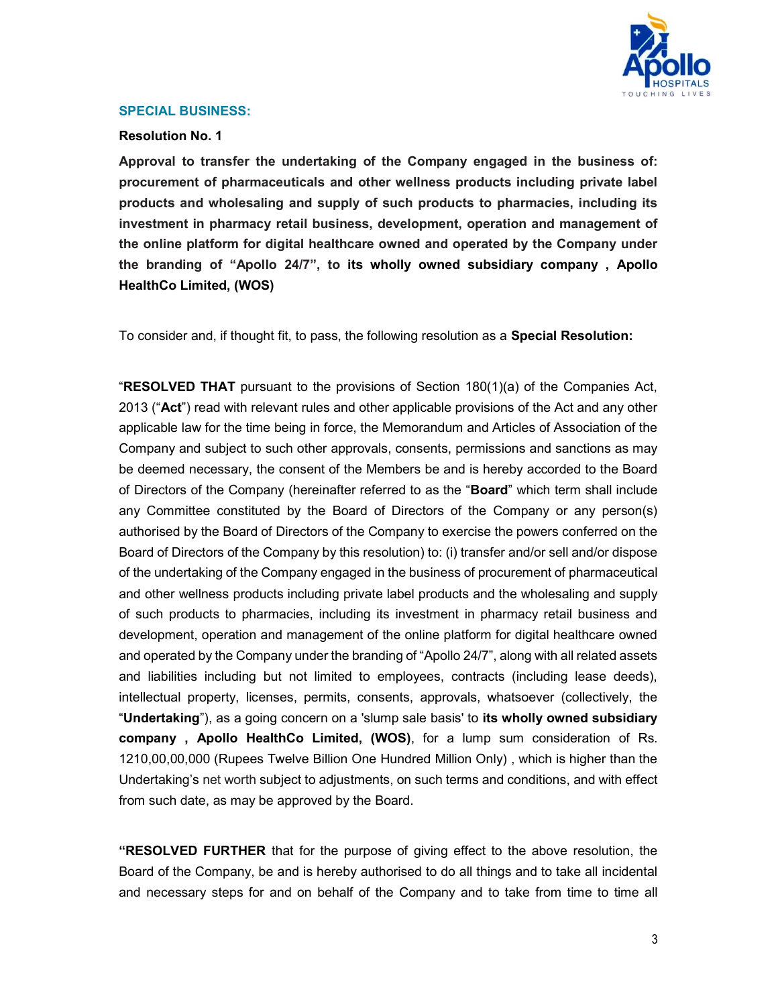

#### SPECIAL BUSINESS:

## Resolution No. 1

Approval to transfer the undertaking of the Company engaged in the business of: procurement of pharmaceuticals and other wellness products including private label products and wholesaling and supply of such products to pharmacies, including its investment in pharmacy retail business, development, operation and management of the online platform for digital healthcare owned and operated by the Company under the branding of "Apollo 24/7", to its wholly owned subsidiary company , Apollo HealthCo Limited, (WOS)

To consider and, if thought fit, to pass, the following resolution as a **Special Resolution:** 

"RESOLVED THAT pursuant to the provisions of Section 180(1)(a) of the Companies Act, 2013 ("Act") read with relevant rules and other applicable provisions of the Act and any other applicable law for the time being in force, the Memorandum and Articles of Association of the Company and subject to such other approvals, consents, permissions and sanctions as may be deemed necessary, the consent of the Members be and is hereby accorded to the Board of Directors of the Company (hereinafter referred to as the "**Board**" which term shall include any Committee constituted by the Board of Directors of the Company or any person(s) authorised by the Board of Directors of the Company to exercise the powers conferred on the Board of Directors of the Company by this resolution) to: (i) transfer and/or sell and/or dispose of the undertaking of the Company engaged in the business of procurement of pharmaceutical and other wellness products including private label products and the wholesaling and supply of such products to pharmacies, including its investment in pharmacy retail business and development, operation and management of the online platform for digital healthcare owned and operated by the Company under the branding of "Apollo 24/7", along with all related assets and liabilities including but not limited to employees, contracts (including lease deeds), intellectual property, licenses, permits, consents, approvals, whatsoever (collectively, the "Undertaking"), as a going concern on a 'slump sale basis' to its wholly owned subsidiary company , Apollo HealthCo Limited, (WOS), for a lump sum consideration of Rs. 1210,00,00,000 (Rupees Twelve Billion One Hundred Million Only) , which is higher than the Undertaking's net worth subject to adjustments, on such terms and conditions, and with effect from such date, as may be approved by the Board.

"RESOLVED FURTHER that for the purpose of giving effect to the above resolution, the Board of the Company, be and is hereby authorised to do all things and to take all incidental and necessary steps for and on behalf of the Company and to take from time to time all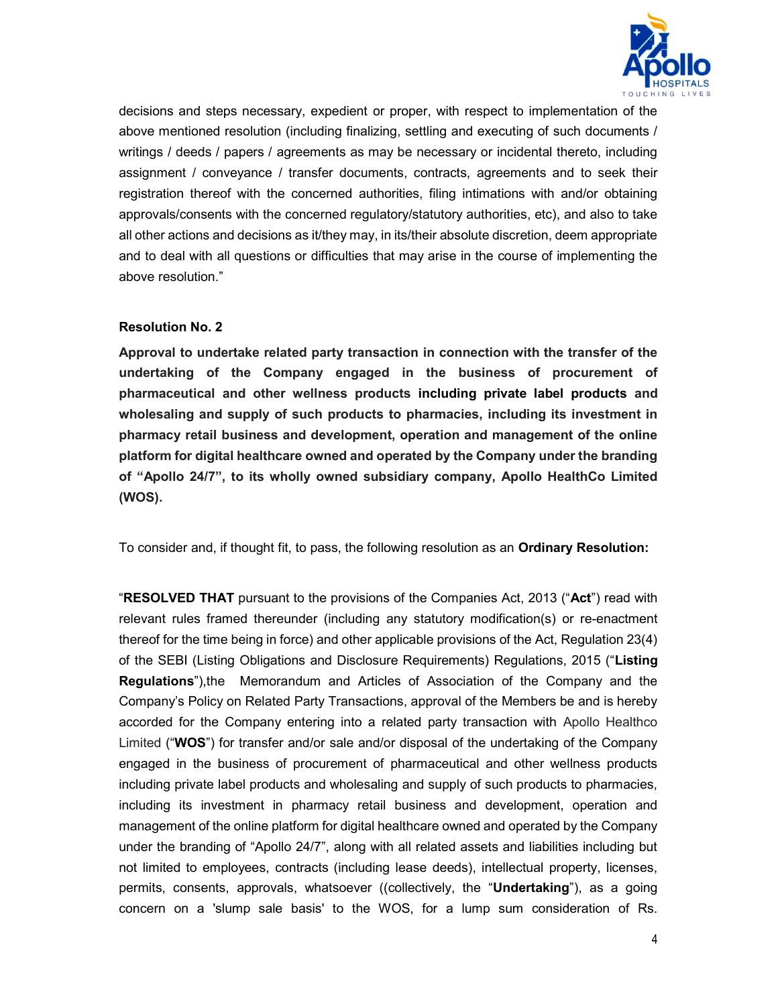

decisions and steps necessary, expedient or proper, with respect to implementation of the above mentioned resolution (including finalizing, settling and executing of such documents / writings / deeds / papers / agreements as may be necessary or incidental thereto, including assignment / conveyance / transfer documents, contracts, agreements and to seek their registration thereof with the concerned authorities, filing intimations with and/or obtaining approvals/consents with the concerned regulatory/statutory authorities, etc), and also to take all other actions and decisions as it/they may, in its/their absolute discretion, deem appropriate and to deal with all questions or difficulties that may arise in the course of implementing the above resolution."

# Resolution No. 2

Approval to undertake related party transaction in connection with the transfer of the undertaking of the Company engaged in the business of procurement of pharmaceutical and other wellness products including private label products and wholesaling and supply of such products to pharmacies, including its investment in pharmacy retail business and development, operation and management of the online platform for digital healthcare owned and operated by the Company under the branding of "Apollo 24/7", to its wholly owned subsidiary company, Apollo HealthCo Limited (WOS).

To consider and, if thought fit, to pass, the following resolution as an **Ordinary Resolution:** 

"RESOLVED THAT pursuant to the provisions of the Companies Act, 2013 ("Act") read with relevant rules framed thereunder (including any statutory modification(s) or re-enactment thereof for the time being in force) and other applicable provisions of the Act, Regulation 23(4) of the SEBI (Listing Obligations and Disclosure Requirements) Regulations, 2015 ("Listing Regulations"),the Memorandum and Articles of Association of the Company and the Company's Policy on Related Party Transactions, approval of the Members be and is hereby accorded for the Company entering into a related party transaction with Apollo Healthco Limited ("WOS") for transfer and/or sale and/or disposal of the undertaking of the Company engaged in the business of procurement of pharmaceutical and other wellness products including private label products and wholesaling and supply of such products to pharmacies, including its investment in pharmacy retail business and development, operation and management of the online platform for digital healthcare owned and operated by the Company under the branding of "Apollo 24/7", along with all related assets and liabilities including but not limited to employees, contracts (including lease deeds), intellectual property, licenses, permits, consents, approvals, whatsoever ((collectively, the "Undertaking"), as a going concern on a 'slump sale basis' to the WOS, for a lump sum consideration of Rs.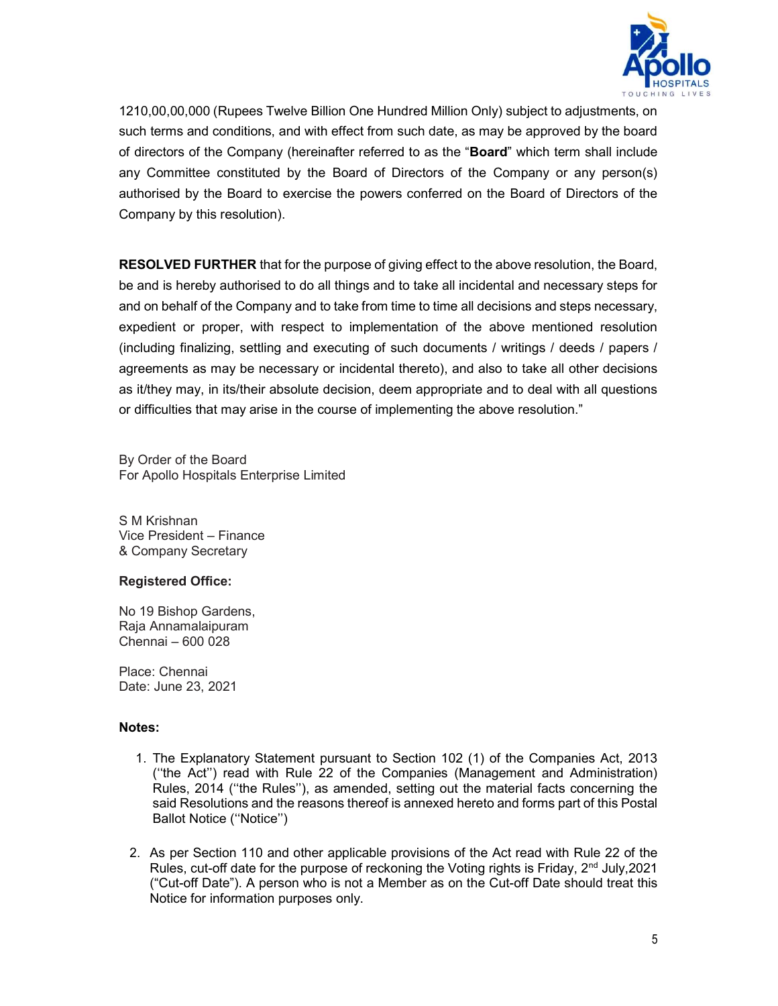

1210,00,00,000 (Rupees Twelve Billion One Hundred Million Only) subject to adjustments, on such terms and conditions, and with effect from such date, as may be approved by the board of directors of the Company (hereinafter referred to as the "Board" which term shall include any Committee constituted by the Board of Directors of the Company or any person(s) authorised by the Board to exercise the powers conferred on the Board of Directors of the Company by this resolution).

**RESOLVED FURTHER** that for the purpose of giving effect to the above resolution, the Board, be and is hereby authorised to do all things and to take all incidental and necessary steps for and on behalf of the Company and to take from time to time all decisions and steps necessary, expedient or proper, with respect to implementation of the above mentioned resolution (including finalizing, settling and executing of such documents / writings / deeds / papers / agreements as may be necessary or incidental thereto), and also to take all other decisions as it/they may, in its/their absolute decision, deem appropriate and to deal with all questions or difficulties that may arise in the course of implementing the above resolution."

By Order of the Board For Apollo Hospitals Enterprise Limited

S M Krishnan Vice President – Finance & Company Secretary

# Registered Office:

No 19 Bishop Gardens, Raja Annamalaipuram Chennai – 600 028

Place: Chennai Date: June 23, 2021

#### Notes:

- 1. The Explanatory Statement pursuant to Section 102 (1) of the Companies Act, 2013 (''the Act'') read with Rule 22 of the Companies (Management and Administration) Rules, 2014 (''the Rules''), as amended, setting out the material facts concerning the said Resolutions and the reasons thereof is annexed hereto and forms part of this Postal Ballot Notice (''Notice'')
- 2. As per Section 110 and other applicable provisions of the Act read with Rule 22 of the Rules, cut-off date for the purpose of reckoning the Voting rights is Friday,  $2<sup>nd</sup>$  July, 2021 ("Cut-off Date"). A person who is not a Member as on the Cut-off Date should treat this Notice for information purposes only.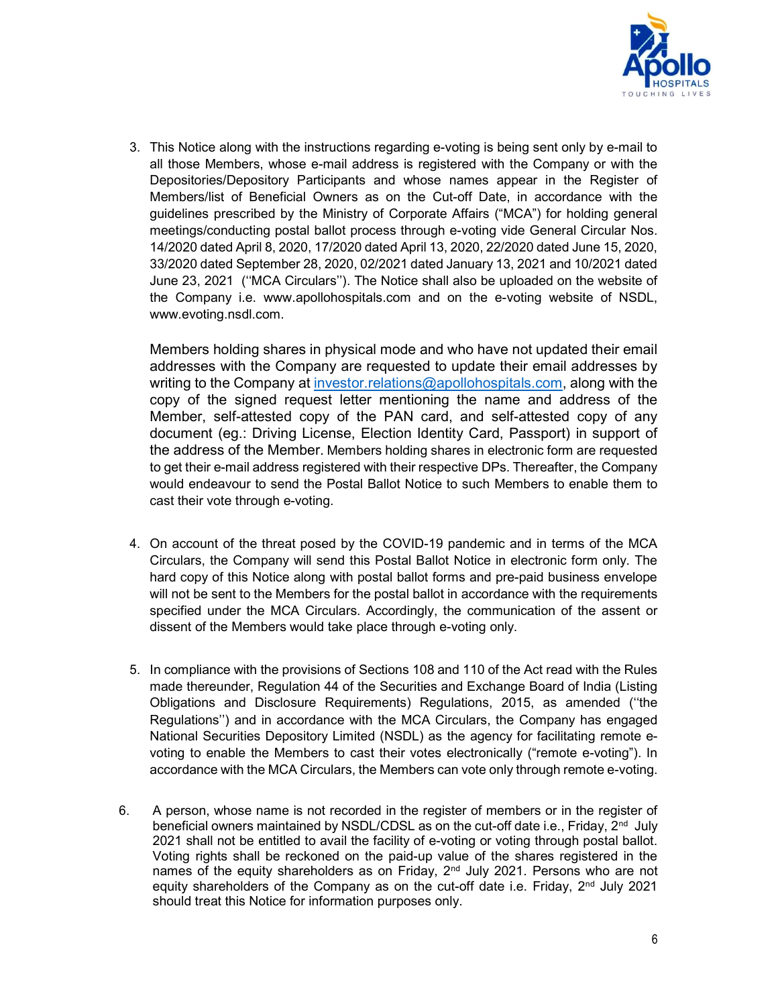

3. This Notice along with the instructions regarding e-voting is being sent only by e-mail to all those Members, whose e-mail address is registered with the Company or with the Depositories/Depository Participants and whose names appear in the Register of Members/list of Beneficial Owners as on the Cut-off Date, in accordance with the guidelines prescribed by the Ministry of Corporate Affairs ("MCA") for holding general meetings/conducting postal ballot process through e-voting vide General Circular Nos. 14/2020 dated April 8, 2020, 17/2020 dated April 13, 2020, 22/2020 dated June 15, 2020, 33/2020 dated September 28, 2020, 02/2021 dated January 13, 2021 and 10/2021 dated June 23, 2021 (''MCA Circulars''). The Notice shall also be uploaded on the website of the Company i.e. www.apollohospitals.com and on the e-voting website of NSDL, www.evoting.nsdl.com.

Members holding shares in physical mode and who have not updated their email addresses with the Company are requested to update their email addresses by writing to the Company at investor.relations@apollohospitals.com, along with the copy of the signed request letter mentioning the name and address of the Member, self-attested copy of the PAN card, and self-attested copy of any document (eg.: Driving License, Election Identity Card, Passport) in support of the address of the Member. Members holding shares in electronic form are requested to get their e-mail address registered with their respective DPs. Thereafter, the Company would endeavour to send the Postal Ballot Notice to such Members to enable them to cast their vote through e-voting.

- 4. On account of the threat posed by the COVID-19 pandemic and in terms of the MCA Circulars, the Company will send this Postal Ballot Notice in electronic form only. The hard copy of this Notice along with postal ballot forms and pre-paid business envelope will not be sent to the Members for the postal ballot in accordance with the requirements specified under the MCA Circulars. Accordingly, the communication of the assent or dissent of the Members would take place through e-voting only.
- 5. In compliance with the provisions of Sections 108 and 110 of the Act read with the Rules made thereunder, Regulation 44 of the Securities and Exchange Board of India (Listing Obligations and Disclosure Requirements) Regulations, 2015, as amended (''the Regulations'') and in accordance with the MCA Circulars, the Company has engaged National Securities Depository Limited (NSDL) as the agency for facilitating remote evoting to enable the Members to cast their votes electronically ("remote e-voting"). In accordance with the MCA Circulars, the Members can vote only through remote e-voting.
- 6. A person, whose name is not recorded in the register of members or in the register of beneficial owners maintained by NSDL/CDSL as on the cut-off date i.e., Friday,  $2<sup>nd</sup>$  July 2021 shall not be entitled to avail the facility of e-voting or voting through postal ballot. Voting rights shall be reckoned on the paid-up value of the shares registered in the names of the equity shareholders as on Friday, 2<sup>nd</sup> July 2021. Persons who are not equity shareholders of the Company as on the cut-off date i.e. Friday, 2<sup>nd</sup> July 2021 should treat this Notice for information purposes only.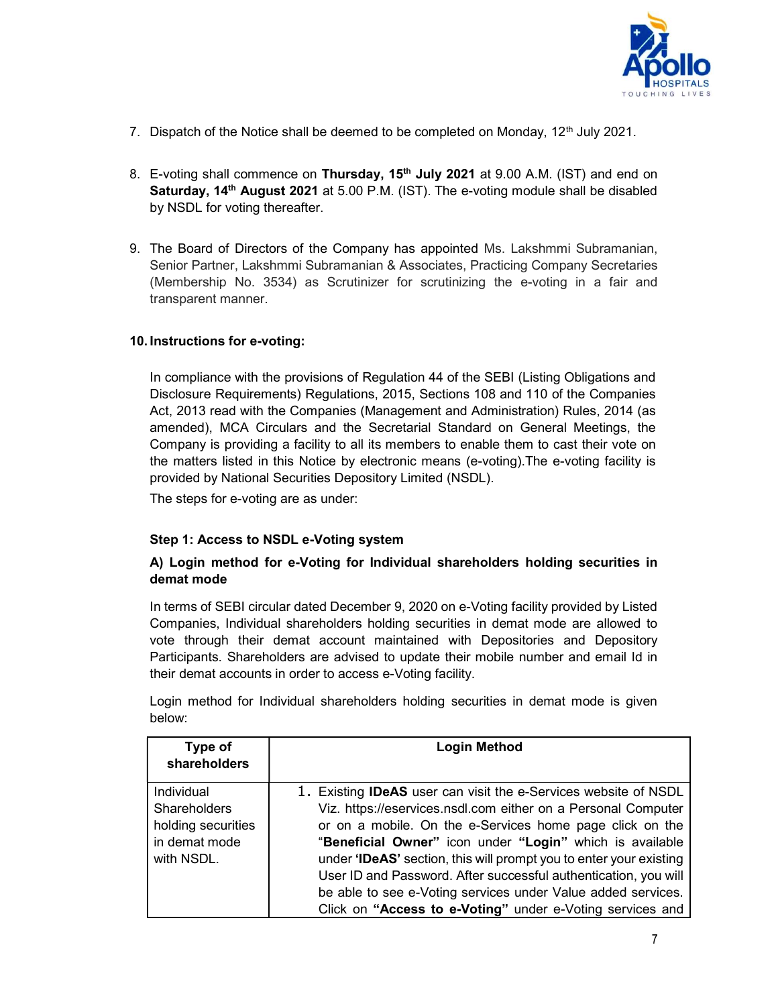

- 7. Dispatch of the Notice shall be deemed to be completed on Monday,  $12<sup>th</sup>$  July 2021.
- 8. E-voting shall commence on Thursday, 15<sup>th</sup> July 2021 at 9.00 A.M. (IST) and end on Saturday, 14<sup>th</sup> August 2021 at 5.00 P.M. (IST). The e-voting module shall be disabled by NSDL for voting thereafter.
- 9. The Board of Directors of the Company has appointed Ms. Lakshmmi Subramanian, Senior Partner, Lakshmmi Subramanian & Associates, Practicing Company Secretaries (Membership No. 3534) as Scrutinizer for scrutinizing the e-voting in a fair and transparent manner.

#### 10. Instructions for e-voting:

In compliance with the provisions of Regulation 44 of the SEBI (Listing Obligations and Disclosure Requirements) Regulations, 2015, Sections 108 and 110 of the Companies Act, 2013 read with the Companies (Management and Administration) Rules, 2014 (as amended), MCA Circulars and the Secretarial Standard on General Meetings, the Company is providing a facility to all its members to enable them to cast their vote on the matters listed in this Notice by electronic means (e-voting).The e-voting facility is provided by National Securities Depository Limited (NSDL).

The steps for e-voting are as under:

#### Step 1: Access to NSDL e-Voting system

# A) Login method for e-Voting for Individual shareholders holding securities in demat mode

In terms of SEBI circular dated December 9, 2020 on e-Voting facility provided by Listed Companies, Individual shareholders holding securities in demat mode are allowed to vote through their demat account maintained with Depositories and Depository Participants. Shareholders are advised to update their mobile number and email Id in their demat accounts in order to access e-Voting facility.

Login method for Individual shareholders holding securities in demat mode is given below:

| Type of<br>shareholders | <b>Login Method</b>                                                    |  |
|-------------------------|------------------------------------------------------------------------|--|
|                         |                                                                        |  |
| <b>Individual</b>       | 1. Existing <b>IDeAS</b> user can visit the e-Services website of NSDL |  |
| <b>Shareholders</b>     | Viz. https://eservices.nsdl.com either on a Personal Computer          |  |
| holding securities      | or on a mobile. On the e-Services home page click on the               |  |
| in demat mode           | "Beneficial Owner" icon under "Login" which is available               |  |
| with NSDL.              | under 'IDeAS' section, this will prompt you to enter your existing     |  |
|                         | User ID and Password. After successful authentication, you will        |  |
|                         | be able to see e-Voting services under Value added services.           |  |
|                         | Click on "Access to e-Voting" under e-Voting services and              |  |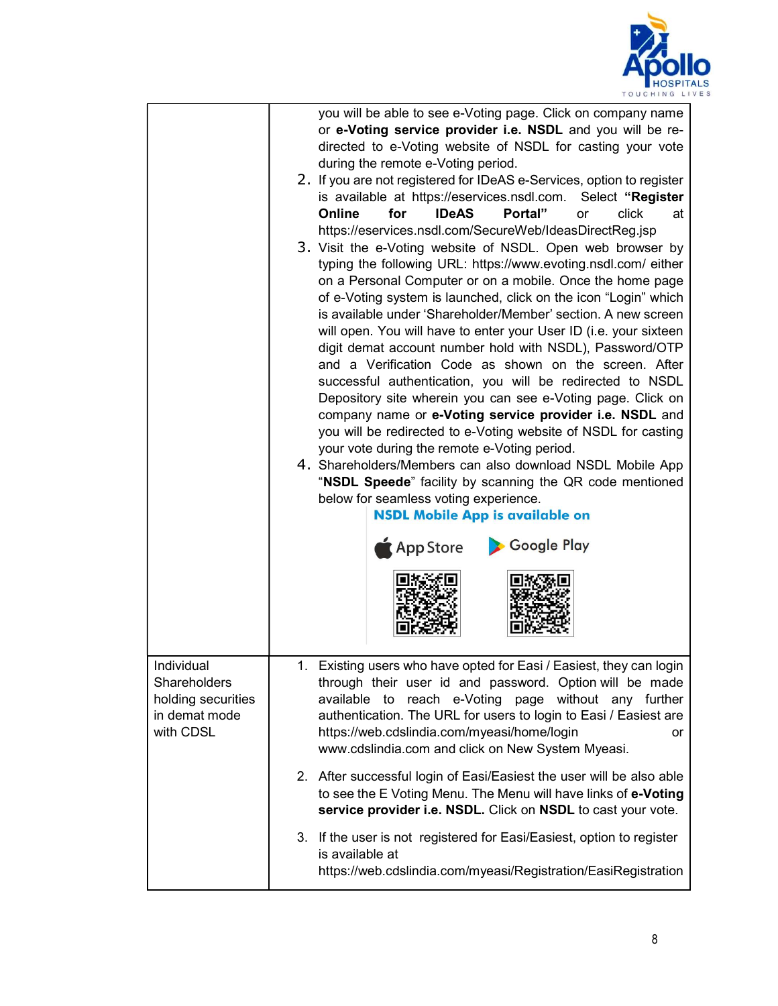

|                                                                                | you will be able to see e-Voting page. Click on company name<br>or e-Voting service provider i.e. NSDL and you will be re-<br>directed to e-Voting website of NSDL for casting your vote<br>during the remote e-Voting period.<br>2. If you are not registered for IDeAS e-Services, option to register<br>is available at https://eservices.nsdl.com. Select "Register<br>for<br><b>IDeAS</b><br>Portal"<br>click<br>Online<br>or<br>at<br>https://eservices.nsdl.com/SecureWeb/IdeasDirectReg.jsp<br>3. Visit the e-Voting website of NSDL. Open web browser by<br>typing the following URL: https://www.evoting.nsdl.com/ either<br>on a Personal Computer or on a mobile. Once the home page<br>of e-Voting system is launched, click on the icon "Login" which<br>is available under 'Shareholder/Member' section. A new screen<br>will open. You will have to enter your User ID (i.e. your sixteen<br>digit demat account number hold with NSDL), Password/OTP<br>and a Verification Code as shown on the screen. After<br>successful authentication, you will be redirected to NSDL<br>Depository site wherein you can see e-Voting page. Click on<br>company name or e-Voting service provider i.e. NSDL and<br>you will be redirected to e-Voting website of NSDL for casting<br>your vote during the remote e-Voting period.<br>4. Shareholders/Members can also download NSDL Mobile App<br>"NSDL Speede" facility by scanning the QR code mentioned<br>below for seamless voting experience.<br><b>NSDL Mobile App is available on</b><br>Google Play<br>App Store |
|--------------------------------------------------------------------------------|---------------------------------------------------------------------------------------------------------------------------------------------------------------------------------------------------------------------------------------------------------------------------------------------------------------------------------------------------------------------------------------------------------------------------------------------------------------------------------------------------------------------------------------------------------------------------------------------------------------------------------------------------------------------------------------------------------------------------------------------------------------------------------------------------------------------------------------------------------------------------------------------------------------------------------------------------------------------------------------------------------------------------------------------------------------------------------------------------------------------------------------------------------------------------------------------------------------------------------------------------------------------------------------------------------------------------------------------------------------------------------------------------------------------------------------------------------------------------------------------------------------------------------------------------------------------------------|
| Individual<br>Shareholders<br>holding securities<br>in demat mode<br>with CDSL | Existing users who have opted for Easi / Easiest, they can login<br>1.<br>through their user id and password. Option will be made<br>available to reach e-Voting page without any further<br>authentication. The URL for users to login to Easi / Easiest are<br>https://web.cdslindia.com/myeasi/home/login<br>or<br>www.cdslindia.com and click on New System Myeasi.                                                                                                                                                                                                                                                                                                                                                                                                                                                                                                                                                                                                                                                                                                                                                                                                                                                                                                                                                                                                                                                                                                                                                                                                         |
|                                                                                | 2. After successful login of Easi/Easiest the user will be also able<br>to see the E Voting Menu. The Menu will have links of e-Voting<br>service provider i.e. NSDL. Click on NSDL to cast your vote.                                                                                                                                                                                                                                                                                                                                                                                                                                                                                                                                                                                                                                                                                                                                                                                                                                                                                                                                                                                                                                                                                                                                                                                                                                                                                                                                                                          |
|                                                                                | 3. If the user is not registered for Easi/Easiest, option to register<br>is available at<br>https://web.cdslindia.com/myeasi/Registration/EasiRegistration                                                                                                                                                                                                                                                                                                                                                                                                                                                                                                                                                                                                                                                                                                                                                                                                                                                                                                                                                                                                                                                                                                                                                                                                                                                                                                                                                                                                                      |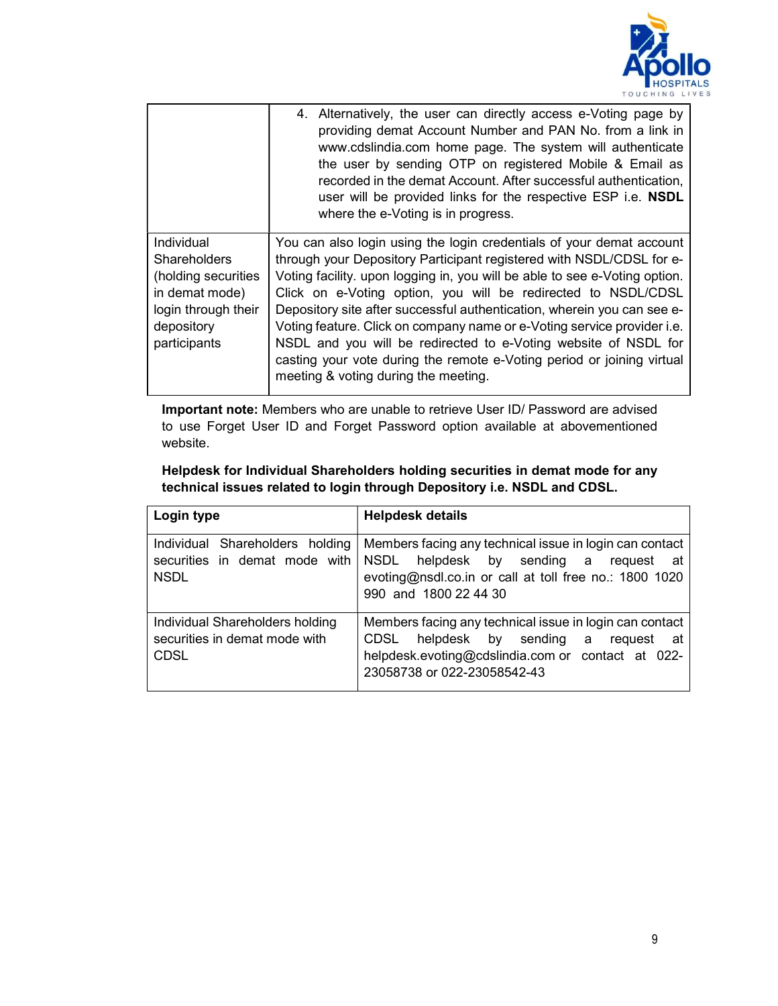

|                                                                                                                                                                                                           | 4. Alternatively, the user can directly access e-Voting page by<br>providing demat Account Number and PAN No. from a link in<br>www.cdslindia.com home page. The system will authenticate<br>the user by sending OTP on registered Mobile & Email as<br>recorded in the demat Account. After successful authentication,<br>user will be provided links for the respective ESP i.e. NSDL<br>where the e-Voting is in progress.                                                                                        |
|-----------------------------------------------------------------------------------------------------------------------------------------------------------------------------------------------------------|----------------------------------------------------------------------------------------------------------------------------------------------------------------------------------------------------------------------------------------------------------------------------------------------------------------------------------------------------------------------------------------------------------------------------------------------------------------------------------------------------------------------|
| Individual<br><b>Shareholders</b><br>(holding securities<br>in demat mode)<br>login through their<br>depository<br>participants<br>casting your vote during the remote e-Voting period or joining virtual | You can also login using the login credentials of your demat account<br>through your Depository Participant registered with NSDL/CDSL for e-<br>Voting facility. upon logging in, you will be able to see e-Voting option.<br>Click on e-Voting option, you will be redirected to NSDL/CDSL<br>Depository site after successful authentication, wherein you can see e-<br>Voting feature. Click on company name or e-Voting service provider i.e.<br>NSDL and you will be redirected to e-Voting website of NSDL for |

Important note: Members who are unable to retrieve User ID/ Password are advised to use Forget User ID and Forget Password option available at abovementioned website.

| Helpdesk for Individual Shareholders holding securities in demat mode for any |
|-------------------------------------------------------------------------------|
| technical issues related to login through Depository i.e. NSDL and CDSL.      |
|                                                                               |

| Login type                                                                      | <b>Helpdesk details</b>                                                                                                                                                              |
|---------------------------------------------------------------------------------|--------------------------------------------------------------------------------------------------------------------------------------------------------------------------------------|
| Individual Shareholders holding<br>securities in demat mode with<br><b>NSDL</b> | Members facing any technical issue in login can contact<br>NSDL helpdesk by sending a request at<br>evoting@nsdl.co.in or call at toll free no.: 1800 1020<br>990 and 1800 22 44 30  |
| Individual Shareholders holding<br>securities in demat mode with<br><b>CDSL</b> | Members facing any technical issue in login can contact<br>CDSL helpdesk by sending a request at<br>helpdesk.evoting@cdslindia.com or contact at 022-<br>23058738 or 022-23058542-43 |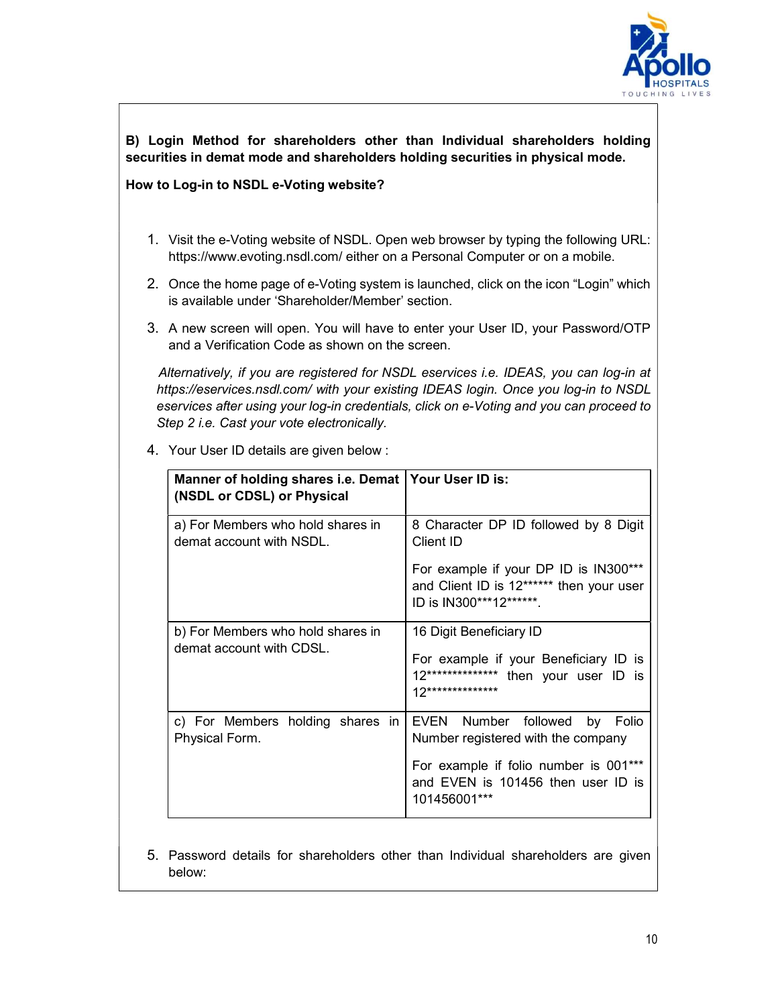

# B) Login Method for shareholders other than Individual shareholders holding securities in demat mode and shareholders holding securities in physical mode.

# How to Log-in to NSDL e-Voting website?

- 1. Visit the e-Voting website of NSDL. Open web browser by typing the following URL: https://www.evoting.nsdl.com/ either on a Personal Computer or on a mobile.
- 2. Once the home page of e-Voting system is launched, click on the icon "Login" which is available under 'Shareholder/Member' section.
- 3. A new screen will open. You will have to enter your User ID, your Password/OTP and a Verification Code as shown on the screen.

 Alternatively, if you are registered for NSDL eservices i.e. IDEAS, you can log-in at https://eservices.nsdl.com/ with your existing IDEAS login. Once you log-in to NSDL eservices after using your log-in credentials, click on e-Voting and you can proceed to Step 2 i.e. Cast your vote electronically.

| Manner of holding shares i.e. Demat   Your User ID is:<br>(NSDL or CDSL) or Physical |                                                                                                               |
|--------------------------------------------------------------------------------------|---------------------------------------------------------------------------------------------------------------|
| a) For Members who hold shares in<br>demat account with NSDL.                        | 8 Character DP ID followed by 8 Digit<br>Client ID                                                            |
|                                                                                      | For example if your DP ID is IN300***<br>and Client ID is 12****** then your user<br>ID is IN300***12*******. |
| b) For Members who hold shares in                                                    | 16 Digit Beneficiary ID                                                                                       |
| demat account with CDSL.                                                             | For example if your Beneficiary ID is<br>12*************** then your user ID is<br>12**************           |
| c) For Members holding shares in<br>Physical Form.                                   | EVEN Number followed by Folio<br>Number registered with the company                                           |
|                                                                                      | For example if folio number is 001***<br>and EVEN is 101456 then user ID is<br>101456001***                   |

4. Your User ID details are given below :

5. Password details for shareholders other than Individual shareholders are given below: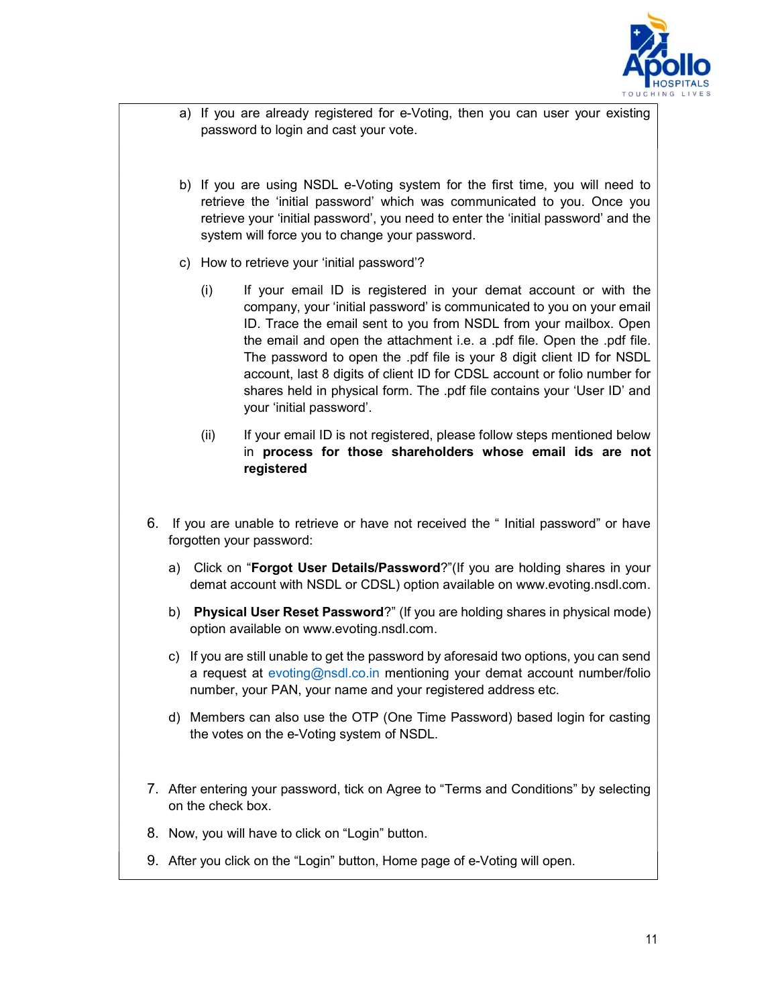

- a) If you are already registered for e-Voting, then you can user your existing password to login and cast your vote.
- b) If you are using NSDL e-Voting system for the first time, you will need to retrieve the 'initial password' which was communicated to you. Once you retrieve your 'initial password', you need to enter the 'initial password' and the system will force you to change your password.
- c) How to retrieve your 'initial password'?
	- (i) If your email ID is registered in your demat account or with the company, your 'initial password' is communicated to you on your email ID. Trace the email sent to you from NSDL from your mailbox. Open the email and open the attachment i.e. a .pdf file. Open the .pdf file. The password to open the .pdf file is your 8 digit client ID for NSDL account, last 8 digits of client ID for CDSL account or folio number for shares held in physical form. The .pdf file contains your 'User ID' and your 'initial password'.
	- (ii) If your email ID is not registered, please follow steps mentioned below in process for those shareholders whose email ids are not registered
- 6. If you are unable to retrieve or have not received the " Initial password" or have forgotten your password:
	- a) Click on "Forgot User Details/Password?"(If you are holding shares in your demat account with NSDL or CDSL) option available on www.evoting.nsdl.com.
	- b) Physical User Reset Password?" (If you are holding shares in physical mode) option available on www.evoting.nsdl.com.
	- c) If you are still unable to get the password by aforesaid two options, you can send a request at evoting@nsdl.co.in mentioning your demat account number/folio number, your PAN, your name and your registered address etc.
	- d) Members can also use the OTP (One Time Password) based login for casting the votes on the e-Voting system of NSDL.
- 7. After entering your password, tick on Agree to "Terms and Conditions" by selecting on the check box.
- 8. Now, you will have to click on "Login" button.
- 9. After you click on the "Login" button, Home page of e-Voting will open.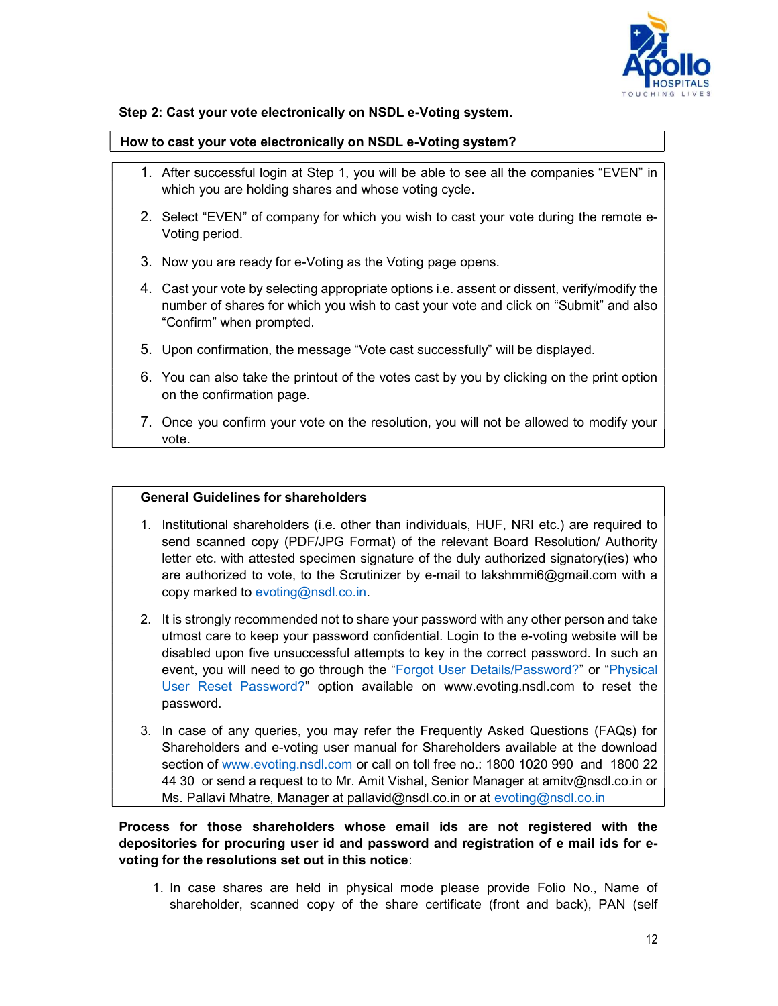

# Step 2: Cast your vote electronically on NSDL e-Voting system.

#### How to cast your vote electronically on NSDL e-Voting system?

- 1. After successful login at Step 1, you will be able to see all the companies "EVEN" in which you are holding shares and whose voting cycle.
- 2. Select "EVEN" of company for which you wish to cast your vote during the remote e-Voting period.
- 3. Now you are ready for e-Voting as the Voting page opens.
- 4. Cast your vote by selecting appropriate options i.e. assent or dissent, verify/modify the number of shares for which you wish to cast your vote and click on "Submit" and also "Confirm" when prompted.
- 5. Upon confirmation, the message "Vote cast successfully" will be displayed.
- 6. You can also take the printout of the votes cast by you by clicking on the print option on the confirmation page.
- 7. Once you confirm your vote on the resolution, you will not be allowed to modify your vote.

## General Guidelines for shareholders

- 1. Institutional shareholders (i.e. other than individuals, HUF, NRI etc.) are required to send scanned copy (PDF/JPG Format) of the relevant Board Resolution/ Authority letter etc. with attested specimen signature of the duly authorized signatory(ies) who are authorized to vote, to the Scrutinizer by e-mail to lakshmmi6@gmail.com with a copy marked to evoting@nsdl.co.in.
- 2. It is strongly recommended not to share your password with any other person and take utmost care to keep your password confidential. Login to the e-voting website will be disabled upon five unsuccessful attempts to key in the correct password. In such an event, you will need to go through the "Forgot User Details/Password?" or "Physical User Reset Password?" option available on www.evoting.nsdl.com to reset the password.
- 3. In case of any queries, you may refer the Frequently Asked Questions (FAQs) for Shareholders and e-voting user manual for Shareholders available at the download section of www.evoting.nsdl.com or call on toll free no.: 1800 1020 990 and 1800 22 44 30 or send a request to to Mr. Amit Vishal, Senior Manager at amitv@nsdl.co.in or Ms. Pallavi Mhatre, Manager at pallavid@nsdl.co.in or at evoting@nsdl.co.in

# Process for those shareholders whose email ids are not registered with the depositories for procuring user id and password and registration of e mail ids for evoting for the resolutions set out in this notice:

1. In case shares are held in physical mode please provide Folio No., Name of shareholder, scanned copy of the share certificate (front and back), PAN (self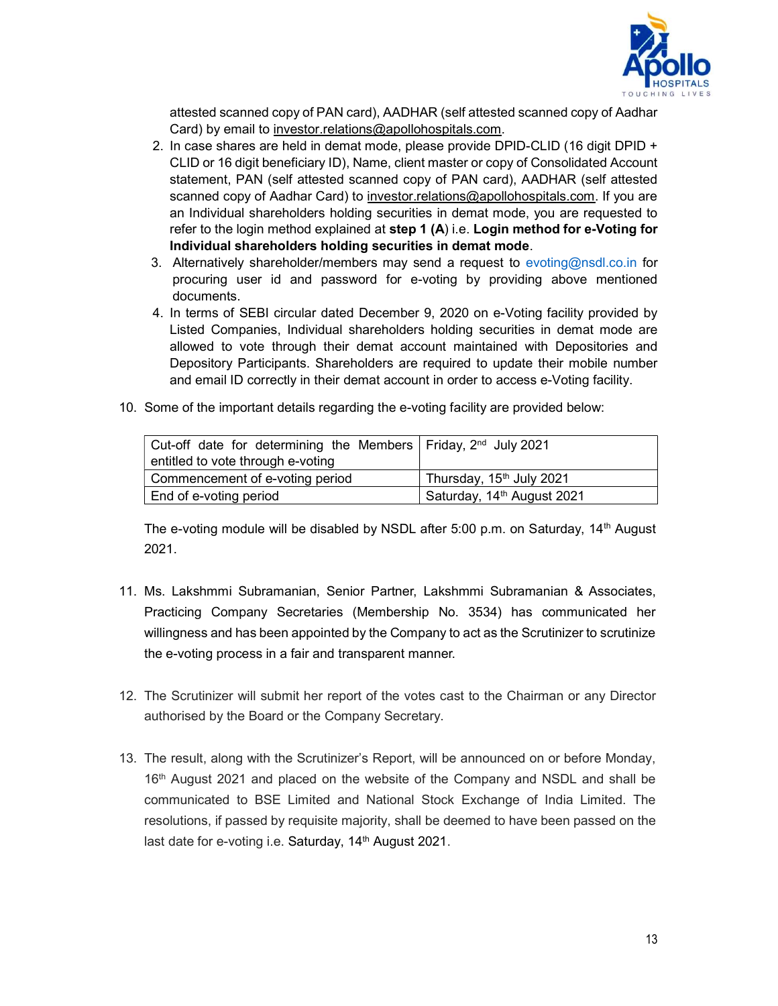

attested scanned copy of PAN card), AADHAR (self attested scanned copy of Aadhar Card) by email to investor.relations@apollohospitals.com.

- 2. In case shares are held in demat mode, please provide DPID-CLID (16 digit DPID + CLID or 16 digit beneficiary ID), Name, client master or copy of Consolidated Account statement, PAN (self attested scanned copy of PAN card), AADHAR (self attested scanned copy of Aadhar Card) to investor.relations@apollohospitals.com. If you are an Individual shareholders holding securities in demat mode, you are requested to refer to the login method explained at step 1 (A) i.e. Login method for e-Voting for Individual shareholders holding securities in demat mode.
- 3. Alternatively shareholder/members may send a request to evoting@nsdl.co.in for procuring user id and password for e-voting by providing above mentioned documents.
- 4. In terms of SEBI circular dated December 9, 2020 on e-Voting facility provided by Listed Companies, Individual shareholders holding securities in demat mode are allowed to vote through their demat account maintained with Depositories and Depository Participants. Shareholders are required to update their mobile number and email ID correctly in their demat account in order to access e-Voting facility.
- 10. Some of the important details regarding the e-voting facility are provided below:

| Cut-off date for determining the Members   Friday, $2nd$ July 2021 |                                        |
|--------------------------------------------------------------------|----------------------------------------|
| entitled to vote through e-voting                                  |                                        |
| Commencement of e-voting period                                    | Thursday, 15 <sup>th</sup> July 2021   |
| End of e-voting period                                             | Saturday, 14 <sup>th</sup> August 2021 |

The e-voting module will be disabled by NSDL after 5:00 p.m. on Saturday,  $14<sup>th</sup>$  August 2021.

- 11. Ms. Lakshmmi Subramanian, Senior Partner, Lakshmmi Subramanian & Associates, Practicing Company Secretaries (Membership No. 3534) has communicated her willingness and has been appointed by the Company to act as the Scrutinizer to scrutinize the e-voting process in a fair and transparent manner.
- 12. The Scrutinizer will submit her report of the votes cast to the Chairman or any Director authorised by the Board or the Company Secretary.
- 13. The result, along with the Scrutinizer's Report, will be announced on or before Monday, 16<sup>th</sup> August 2021 and placed on the website of the Company and NSDL and shall be communicated to BSE Limited and National Stock Exchange of India Limited. The resolutions, if passed by requisite majority, shall be deemed to have been passed on the last date for e-voting i.e. Saturday, 14<sup>th</sup> August 2021.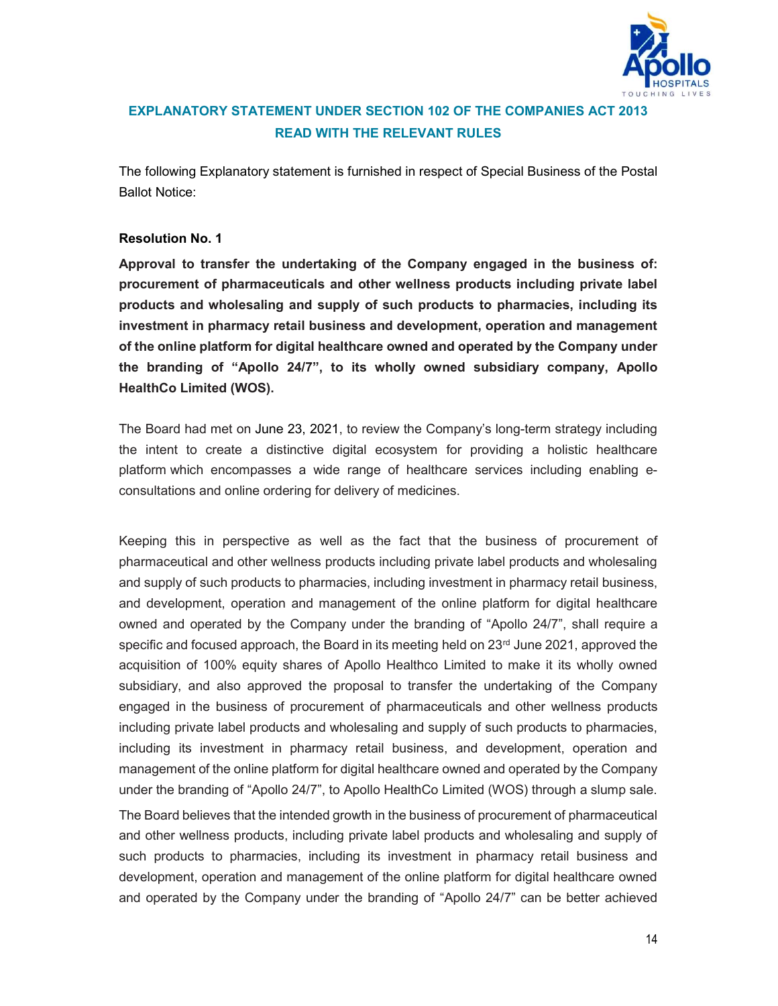

# EXPLANATORY STATEMENT UNDER SECTION 102 OF THE COMPANIES ACT 2013 READ WITH THE RELEVANT RULES

The following Explanatory statement is furnished in respect of Special Business of the Postal Ballot Notice:

# Resolution No. 1

Approval to transfer the undertaking of the Company engaged in the business of: procurement of pharmaceuticals and other wellness products including private label products and wholesaling and supply of such products to pharmacies, including its investment in pharmacy retail business and development, operation and management of the online platform for digital healthcare owned and operated by the Company under the branding of "Apollo 24/7", to its wholly owned subsidiary company, Apollo HealthCo Limited (WOS).

The Board had met on June 23, 2021, to review the Company's long-term strategy including the intent to create a distinctive digital ecosystem for providing a holistic healthcare platform which encompasses a wide range of healthcare services including enabling econsultations and online ordering for delivery of medicines.

Keeping this in perspective as well as the fact that the business of procurement of pharmaceutical and other wellness products including private label products and wholesaling and supply of such products to pharmacies, including investment in pharmacy retail business, and development, operation and management of the online platform for digital healthcare owned and operated by the Company under the branding of "Apollo 24/7", shall require a specific and focused approach, the Board in its meeting held on 23<sup>rd</sup> June 2021, approved the acquisition of 100% equity shares of Apollo Healthco Limited to make it its wholly owned subsidiary, and also approved the proposal to transfer the undertaking of the Company engaged in the business of procurement of pharmaceuticals and other wellness products including private label products and wholesaling and supply of such products to pharmacies, including its investment in pharmacy retail business, and development, operation and management of the online platform for digital healthcare owned and operated by the Company under the branding of "Apollo 24/7", to Apollo HealthCo Limited (WOS) through a slump sale. The Board believes that the intended growth in the business of procurement of pharmaceutical and other wellness products, including private label products and wholesaling and supply of such products to pharmacies, including its investment in pharmacy retail business and development, operation and management of the online platform for digital healthcare owned

and operated by the Company under the branding of "Apollo 24/7" can be better achieved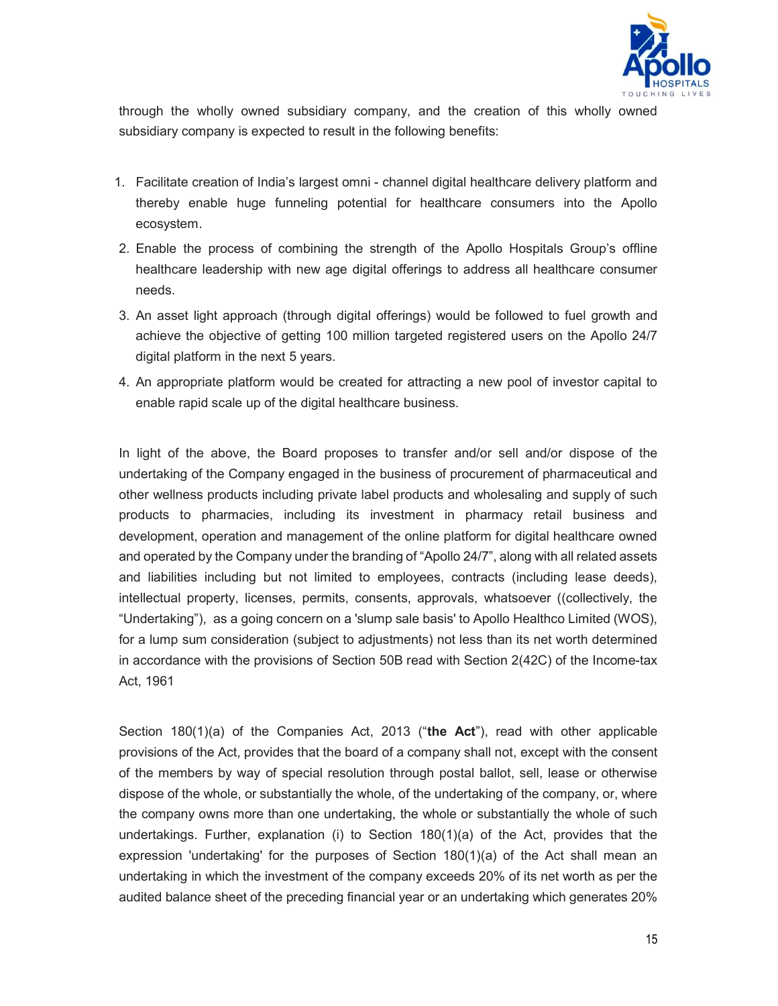

through the wholly owned subsidiary company, and the creation of this wholly owned subsidiary company is expected to result in the following benefits:

- 1. Facilitate creation of India's largest omni channel digital healthcare delivery platform and thereby enable huge funneling potential for healthcare consumers into the Apollo ecosystem.
- 2. Enable the process of combining the strength of the Apollo Hospitals Group's offline healthcare leadership with new age digital offerings to address all healthcare consumer needs.
- 3. An asset light approach (through digital offerings) would be followed to fuel growth and achieve the objective of getting 100 million targeted registered users on the Apollo 24/7 digital platform in the next 5 years.
- 4. An appropriate platform would be created for attracting a new pool of investor capital to enable rapid scale up of the digital healthcare business.

In light of the above, the Board proposes to transfer and/or sell and/or dispose of the undertaking of the Company engaged in the business of procurement of pharmaceutical and other wellness products including private label products and wholesaling and supply of such products to pharmacies, including its investment in pharmacy retail business and development, operation and management of the online platform for digital healthcare owned and operated by the Company under the branding of "Apollo 24/7", along with all related assets and liabilities including but not limited to employees, contracts (including lease deeds), intellectual property, licenses, permits, consents, approvals, whatsoever ((collectively, the "Undertaking"), as a going concern on a 'slump sale basis' to Apollo Healthco Limited (WOS), for a lump sum consideration (subject to adjustments) not less than its net worth determined in accordance with the provisions of Section 50B read with Section 2(42C) of the Income-tax Act, 1961

Section 180(1)(a) of the Companies Act, 2013 ("the Act"), read with other applicable provisions of the Act, provides that the board of a company shall not, except with the consent of the members by way of special resolution through postal ballot, sell, lease or otherwise dispose of the whole, or substantially the whole, of the undertaking of the company, or, where the company owns more than one undertaking, the whole or substantially the whole of such undertakings. Further, explanation (i) to Section 180(1)(a) of the Act, provides that the expression 'undertaking' for the purposes of Section 180(1)(a) of the Act shall mean an undertaking in which the investment of the company exceeds 20% of its net worth as per the audited balance sheet of the preceding financial year or an undertaking which generates 20%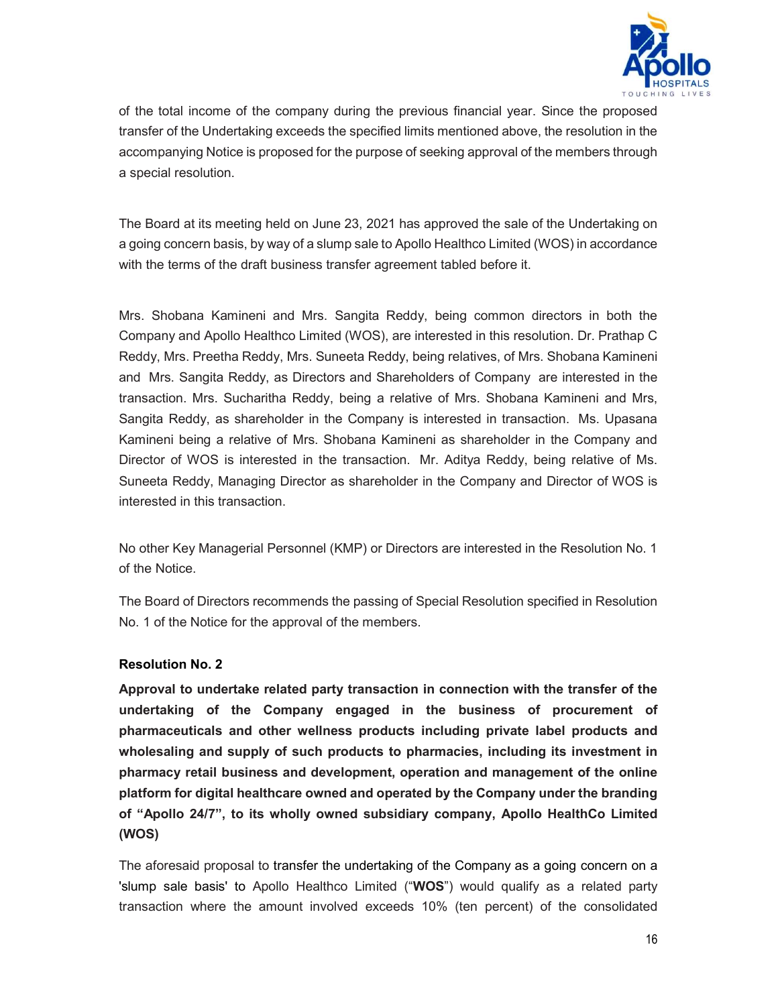

of the total income of the company during the previous financial year. Since the proposed transfer of the Undertaking exceeds the specified limits mentioned above, the resolution in the accompanying Notice is proposed for the purpose of seeking approval of the members through a special resolution.

The Board at its meeting held on June 23, 2021 has approved the sale of the Undertaking on a going concern basis, by way of a slump sale to Apollo Healthco Limited (WOS) in accordance with the terms of the draft business transfer agreement tabled before it.

Mrs. Shobana Kamineni and Mrs. Sangita Reddy, being common directors in both the Company and Apollo Healthco Limited (WOS), are interested in this resolution. Dr. Prathap C Reddy, Mrs. Preetha Reddy, Mrs. Suneeta Reddy, being relatives, of Mrs. Shobana Kamineni and Mrs. Sangita Reddy, as Directors and Shareholders of Company are interested in the transaction. Mrs. Sucharitha Reddy, being a relative of Mrs. Shobana Kamineni and Mrs, Sangita Reddy, as shareholder in the Company is interested in transaction. Ms. Upasana Kamineni being a relative of Mrs. Shobana Kamineni as shareholder in the Company and Director of WOS is interested in the transaction. Mr. Aditya Reddy, being relative of Ms. Suneeta Reddy, Managing Director as shareholder in the Company and Director of WOS is interested in this transaction.

No other Key Managerial Personnel (KMP) or Directors are interested in the Resolution No. 1 of the Notice.

The Board of Directors recommends the passing of Special Resolution specified in Resolution No. 1 of the Notice for the approval of the members.

# Resolution No. 2

Approval to undertake related party transaction in connection with the transfer of the undertaking of the Company engaged in the business of procurement of pharmaceuticals and other wellness products including private label products and wholesaling and supply of such products to pharmacies, including its investment in pharmacy retail business and development, operation and management of the online platform for digital healthcare owned and operated by the Company under the branding of "Apollo 24/7", to its wholly owned subsidiary company, Apollo HealthCo Limited (WOS)

The aforesaid proposal to transfer the undertaking of the Company as a going concern on a 'slump sale basis' to Apollo Healthco Limited ("WOS") would qualify as a related party transaction where the amount involved exceeds 10% (ten percent) of the consolidated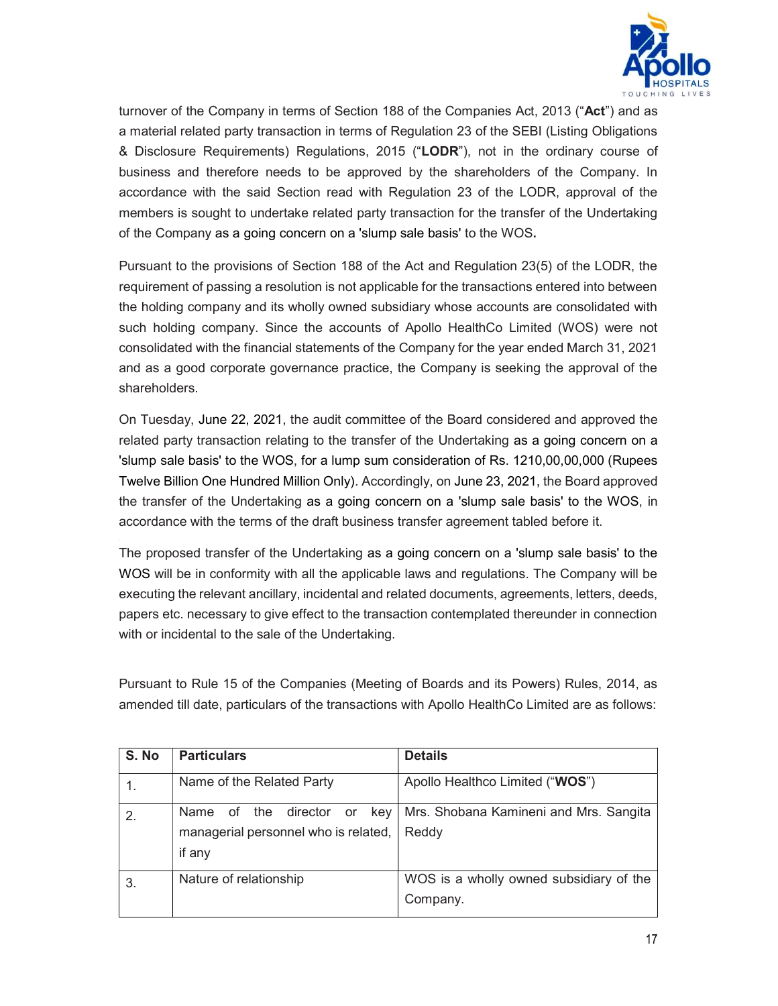

turnover of the Company in terms of Section 188 of the Companies Act, 2013 ("Act") and as a material related party transaction in terms of Regulation 23 of the SEBI (Listing Obligations & Disclosure Requirements) Regulations, 2015 ("LODR"), not in the ordinary course of business and therefore needs to be approved by the shareholders of the Company. In accordance with the said Section read with Regulation 23 of the LODR, approval of the members is sought to undertake related party transaction for the transfer of the Undertaking of the Company as a going concern on a 'slump sale basis' to the WOS.

Pursuant to the provisions of Section 188 of the Act and Regulation 23(5) of the LODR, the requirement of passing a resolution is not applicable for the transactions entered into between the holding company and its wholly owned subsidiary whose accounts are consolidated with such holding company. Since the accounts of Apollo HealthCo Limited (WOS) were not consolidated with the financial statements of the Company for the year ended March 31, 2021 and as a good corporate governance practice, the Company is seeking the approval of the shareholders.

On Tuesday, June 22, 2021, the audit committee of the Board considered and approved the related party transaction relating to the transfer of the Undertaking as a going concern on a 'slump sale basis' to the WOS, for a lump sum consideration of Rs. 1210,00,00,000 (Rupees Twelve Billion One Hundred Million Only). Accordingly, on June 23, 2021, the Board approved the transfer of the Undertaking as a going concern on a 'slump sale basis' to the WOS, in accordance with the terms of the draft business transfer agreement tabled before it.

The proposed transfer of the Undertaking as a going concern on a 'slump sale basis' to the WOS will be in conformity with all the applicable laws and regulations. The Company will be executing the relevant ancillary, incidental and related documents, agreements, letters, deeds, papers etc. necessary to give effect to the transaction contemplated thereunder in connection with or incidental to the sale of the Undertaking.

Pursuant to Rule 15 of the Companies (Meeting of Boards and its Powers) Rules, 2014, as amended till date, particulars of the transactions with Apollo HealthCo Limited are as follows:

| S. No | <b>Particulars</b>                          | <b>Details</b>                          |
|-------|---------------------------------------------|-----------------------------------------|
|       | Name of the Related Party                   | Apollo Healthco Limited ("WOS")         |
| 2.    | director<br>Name of<br>the<br>kev l<br>or - | Mrs. Shobana Kamineni and Mrs. Sangita  |
|       | managerial personnel who is related,        | Reddy                                   |
|       | if any                                      |                                         |
| -3.   | Nature of relationship                      | WOS is a wholly owned subsidiary of the |
|       |                                             | Company.                                |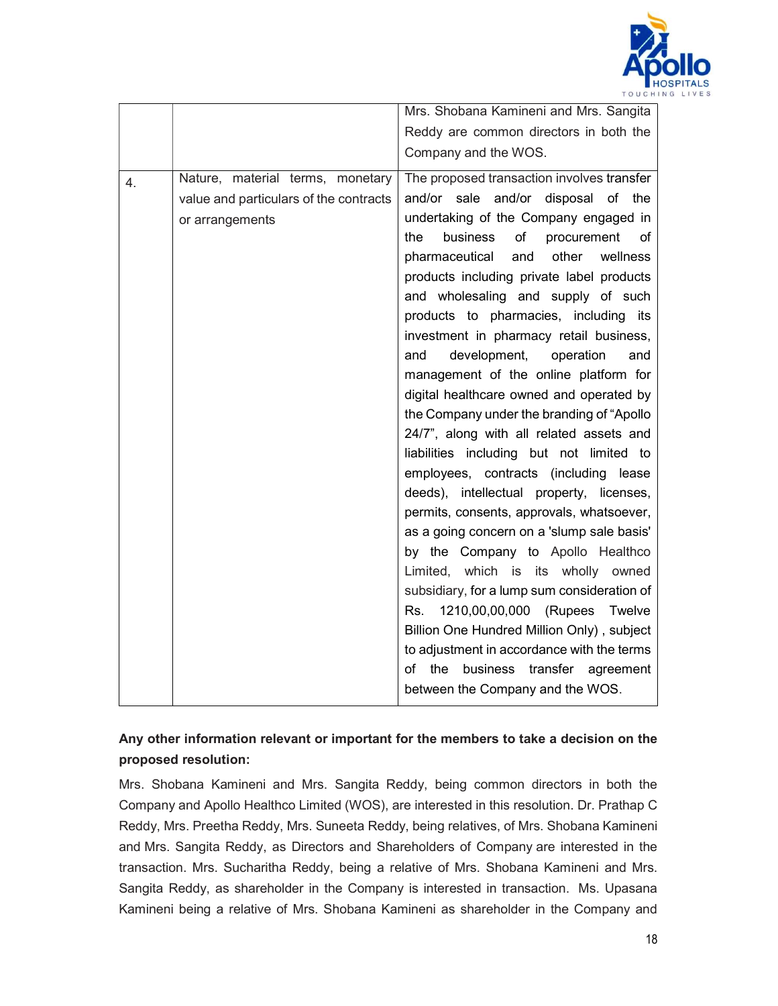

|    |                                        | Mrs. Shobana Kamineni and Mrs. Sangita                                              |
|----|----------------------------------------|-------------------------------------------------------------------------------------|
|    |                                        | Reddy are common directors in both the                                              |
|    |                                        | Company and the WOS.                                                                |
| 4. | Nature, material terms, monetary       | The proposed transaction involves transfer                                          |
|    | value and particulars of the contracts | and/or sale and/or disposal of<br>the                                               |
|    | or arrangements                        | undertaking of the Company engaged in                                               |
|    |                                        | of<br>the<br>business<br>procurement<br>of                                          |
|    |                                        | other<br>wellness<br>pharmaceutical<br>and                                          |
|    |                                        | products including private label products                                           |
|    |                                        | and wholesaling and supply of such                                                  |
|    |                                        | products to pharmacies, including its                                               |
|    |                                        | investment in pharmacy retail business,                                             |
|    |                                        | development,<br>and<br>operation<br>and                                             |
|    |                                        | management of the online platform for                                               |
|    |                                        | digital healthcare owned and operated by                                            |
|    |                                        | the Company under the branding of "Apollo"                                          |
|    |                                        | 24/7", along with all related assets and                                            |
|    |                                        | liabilities including but not limited to                                            |
|    |                                        | employees, contracts (including lease                                               |
|    |                                        | deeds), intellectual property, licenses,                                            |
|    |                                        | permits, consents, approvals, whatsoever,                                           |
|    |                                        | as a going concern on a 'slump sale basis'                                          |
|    |                                        | by the Company to Apollo Healthco                                                   |
|    |                                        | Limited, which is its wholly owned                                                  |
|    |                                        | subsidiary, for a lump sum consideration of<br>Rs. 1210,00,00,000 (Rupees<br>Twelve |
|    |                                        | Billion One Hundred Million Only), subject                                          |
|    |                                        | to adjustment in accordance with the terms                                          |
|    |                                        | of the<br>business<br>transfer<br>agreement                                         |
|    |                                        | between the Company and the WOS.                                                    |
|    |                                        |                                                                                     |

# Any other information relevant or important for the members to take a decision on the proposed resolution:

Mrs. Shobana Kamineni and Mrs. Sangita Reddy, being common directors in both the Company and Apollo Healthco Limited (WOS), are interested in this resolution. Dr. Prathap C Reddy, Mrs. Preetha Reddy, Mrs. Suneeta Reddy, being relatives, of Mrs. Shobana Kamineni and Mrs. Sangita Reddy, as Directors and Shareholders of Company are interested in the transaction. Mrs. Sucharitha Reddy, being a relative of Mrs. Shobana Kamineni and Mrs. Sangita Reddy, as shareholder in the Company is interested in transaction. Ms. Upasana Kamineni being a relative of Mrs. Shobana Kamineni as shareholder in the Company and